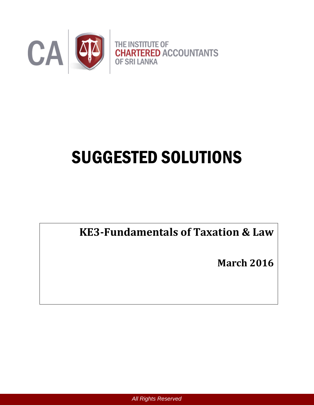

# SUGGESTED SOLUTIONS

**KE3-Fundamentals of Taxation & Law**

**March 2016**

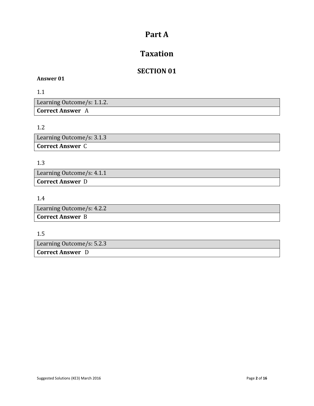# **Part A**

# **Taxation**

# **SECTION 01**

#### **Answer 01**

1.1

Learning Outcome/s: 1.1.2. **Correct Answer** A

# 1.2

Learning Outcome/s: 3.1.3 **Correct Answer** C

#### 1.3

Learning Outcome/s: 4.1.1 **Correct Answer** D

## 1.4

| Learning Outcome/s: 4.2.2 |  |
|---------------------------|--|
| <b>Correct Answer B</b>   |  |

#### 1.5

Learning Outcome/s: 5.2.3

**Correct Answer** D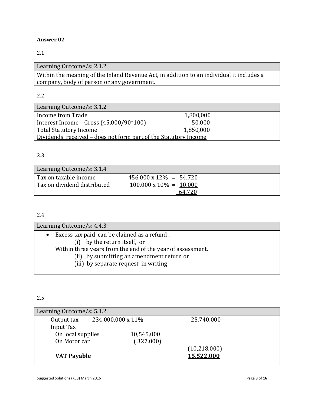## 2.1

Learning Outcome/s: 2.1.2 Within the meaning of the Inland Revenue Act, in addition to an individual it includes a company, body of person or any government.

#### 2.2

| Learning Outcome/s: 3.1.2                                       |           |  |
|-----------------------------------------------------------------|-----------|--|
| Income from Trade                                               | 1,800,000 |  |
| Interest Income – Gross $(45,000/90*100)$                       | 50,000    |  |
| <b>Total Statutory Income</b>                                   | 1,850,000 |  |
| Dividends received – does not form part of the Statutory Income |           |  |

#### 2.3

| Learning Outcome/s: 3.1.4                            |                                                                  |  |
|------------------------------------------------------|------------------------------------------------------------------|--|
| Tax on taxable income<br>Tax on dividend distributed | $456,000 \times 12\% = 54,720$<br>$100,000 \times 10\% = 10,000$ |  |
|                                                      | 64,720                                                           |  |

#### 2.4

| Learning Outcome/s: 4.4.3                                  |
|------------------------------------------------------------|
| $\bullet$ Excess tax paid can be claimed as a refund,      |
| (i) by the return itself, or                               |
| Within three years from the end of the year of assessment. |
| (ii) by submitting an amendment return or                  |
| (iii) by separate request in writing                       |

## 2.5

| Learning Outcome/s: 5.1.2 |                   |                     |  |
|---------------------------|-------------------|---------------------|--|
| Output tax                | 234,000,000 x 11% | 25,740,000          |  |
| Input Tax                 |                   |                     |  |
| On local supplies         | 10,545,000        |                     |  |
| On Motor car              | (327,000)         |                     |  |
|                           |                   | <u>(10,218,000)</u> |  |
| <b>VAT Payable</b>        |                   | 15,522,000          |  |
|                           |                   |                     |  |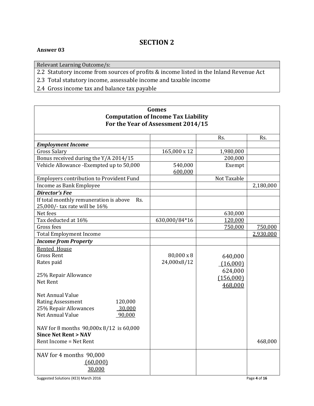# **SECTION 2**

**Gomes**

#### **Answer 03**

 $\Gamma$ 

Relevant Learning Outcome/s:

2.2 Statutory income from sources of profits & income listed in the Inland Revenue Act

2.3 Total statutory income, assessable income and taxable income

2.4 Gross income tax and balance tax payable

|                                                                                | <b>Computation of Income Tax Liability</b><br>For the Year of Assessment 2014/15 |                                 |              |
|--------------------------------------------------------------------------------|----------------------------------------------------------------------------------|---------------------------------|--------------|
|                                                                                |                                                                                  | Rs.                             | Rs.          |
| <b>Employment Income</b>                                                       |                                                                                  |                                 |              |
| <b>Gross Salary</b>                                                            | 165,000 x 12                                                                     | 1,980,000                       |              |
| Bonus received during the Y/A 2014/15                                          |                                                                                  | 200,000                         |              |
| Vehicle Allowance - Exempted up to 50,000                                      | 540,000<br>600,000                                                               | Exempt                          |              |
| <b>Employers contribution to Provident Fund</b>                                |                                                                                  | Not Taxable                     |              |
| Income as Bank Employee                                                        |                                                                                  |                                 | 2,180,000    |
| <b>Director's Fee</b>                                                          |                                                                                  |                                 |              |
| If total monthly remuneration is above<br>Rs.<br>25,000/- tax rate will be 16% |                                                                                  |                                 |              |
| Net fees                                                                       |                                                                                  | 630,000                         |              |
| Tax deducted at 16%                                                            | 630,000/84*16                                                                    | 120,000                         |              |
| Gross fees                                                                     |                                                                                  | 750,000                         | 750,000      |
| <b>Total Employment Income</b>                                                 |                                                                                  |                                 | 2,930,000    |
| <b>Income from Property</b>                                                    |                                                                                  |                                 |              |
| Rented House                                                                   |                                                                                  |                                 |              |
| <b>Gross Rent</b>                                                              | 80,000 x 8                                                                       | 640,000                         |              |
| Rates paid                                                                     | 24,000x8/12                                                                      | (16,000)                        |              |
| 25% Repair Allowance<br>Net Rent                                               |                                                                                  | 624,000<br>(156,000)<br>468,000 |              |
| Net Annual Value                                                               |                                                                                  |                                 |              |
| <b>Rating Assessment</b><br>120,000                                            |                                                                                  |                                 |              |
| 25% Repair Allowances<br>30,000                                                |                                                                                  |                                 |              |
| Net Annual Value<br>90,000                                                     |                                                                                  |                                 |              |
| NAV for 8 months 90,000x 8/12 is 60,000<br><b>Since Net Rent &gt; NAV</b>      |                                                                                  |                                 |              |
| Rent Income = Net Rent                                                         |                                                                                  |                                 | 468,000      |
| NAV for 4 months 90,000<br>(60,000)<br>30,000                                  |                                                                                  |                                 |              |
| Suggested Solutions (KE3) March 2016                                           |                                                                                  |                                 | Page 4 of 16 |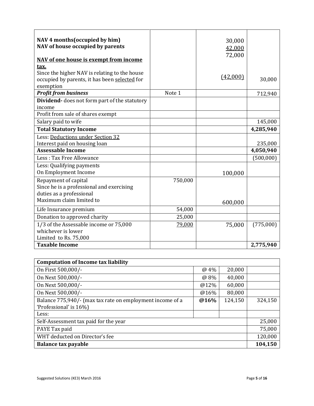| NAV 4 months (occupied by him)<br>NAV of house occupied by parents<br>NAV of one house is exempt from income                |         | 30,000<br>42,000<br>72,000 |                        |
|-----------------------------------------------------------------------------------------------------------------------------|---------|----------------------------|------------------------|
| tax.<br>Since the higher NAV is relating to the house<br>occupied by parents, it has been selected for<br>exemption         |         | (42,000)                   | 30,000                 |
| <b>Profit from business</b>                                                                                                 | Note 1  |                            | 712,940                |
| <b>Dividend-</b> does not form part of the statutory<br>income                                                              |         |                            |                        |
| Profit from sale of shares exempt                                                                                           |         |                            |                        |
| Salary paid to wife                                                                                                         |         |                            | 145,000                |
| <b>Total Statutory Income</b>                                                                                               |         |                            | 4,285,940              |
| Less: Deductions under Section 32                                                                                           |         |                            |                        |
| Interest paid on housing loan                                                                                               |         |                            | 235,000                |
| <b>Assessable Income</b>                                                                                                    |         |                            | 4,050,940              |
| Less: Tax Free Allowance                                                                                                    |         |                            | (500,000)              |
| Less: Qualifying payments<br>On Employment Income                                                                           |         | 100,000                    |                        |
| Repayment of capital<br>Since he is a professional and exercising<br>duties as a professional<br>Maximum claim limited to   | 750,000 | 600,000                    |                        |
| Life Insurance premium                                                                                                      | 54,000  |                            |                        |
| Donation to approved charity                                                                                                | 25,000  |                            |                        |
| $\overline{1/3}$ of the Assessable income or 75,000<br>whichever is lower<br>Limited to Rs. 75,000<br><b>Taxable Income</b> | 79,000  | 75,000                     | (775,000)<br>2,775,940 |
|                                                                                                                             |         |                            |                        |

| <b>Computation of Income tax liability</b>                |        |         |         |
|-----------------------------------------------------------|--------|---------|---------|
| On First 500,000/-                                        | $@4\%$ | 20,000  |         |
| On Next 500,000/-                                         | @ 8%   | 40,000  |         |
| On Next 500,000/-                                         | @12%   | 60,000  |         |
| On Next 500,000/-                                         | @16%   | 80,000  |         |
| Balance 775,940/- (max tax rate on employment income of a | @16%   | 124,150 | 324,150 |
| 'Professional' is 16%)                                    |        |         |         |
| Less:                                                     |        |         |         |
| Self-Assessment tax paid for the year                     |        |         | 25,000  |
| PAYE Tax paid                                             |        | 75,000  |         |
| WHT deducted on Director's fee                            |        | 120,000 |         |
| Balance tax payable                                       |        |         | 104,150 |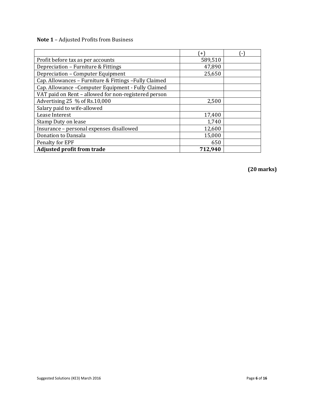**Note 1** – Adjusted Profits from Business

|                                                        | $+$     | ۰. |
|--------------------------------------------------------|---------|----|
| Profit before tax as per accounts                      | 589,510 |    |
| Depreciation - Furniture & Fittings                    | 47,890  |    |
| Depreciation - Computer Equipment                      | 25,650  |    |
| Cap. Allowances - Furniture & Fittings - Fully Claimed |         |    |
| Cap. Allowance - Computer Equipment - Fully Claimed    |         |    |
| VAT paid on Rent - allowed for non-registered person   |         |    |
| Advertising 25 % of Rs.10,000                          | 2,500   |    |
| Salary paid to wife-allowed                            |         |    |
| Lease Interest                                         | 17,400  |    |
| Stamp Duty on lease                                    | 1,740   |    |
| Insurance - personal expenses disallowed               | 12,600  |    |
| Donation to Dansala                                    | 15,000  |    |
| Penalty for EPF                                        | 650     |    |
| <b>Adjusted profit from trade</b>                      | 712,940 |    |

**(20 marks)**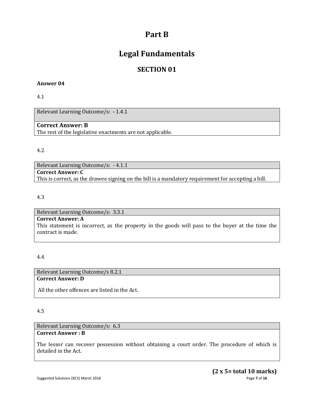# **Part B**

# **Legal Fundamentals**

# **SECTION 01**

#### **Answer 04**

4.1

Relevant Learning Outcome/s: **-** 1.4.1

## **Correct Answer: B**

The rest of the legislative enactments are not applicable.

#### 4.2

Relevant Learning Outcome/s: - 4.1.1 **Correct Answer: C** This is correct, as the drawee signing on the bill is a mandatory requirement for accepting a bill.

## 4.3

Relevant Learning Outcome/s: 3.3.1 **Correct Answer: A** This statement is incorrect, as the property in the goods will pass to the buyer at the time the contract is made.

#### 4.4

Relevant Learning Outcome/s 8.2.1 **Correct Answer: D** 

All the other offences are listed in the Act.

#### 4.5

Relevant Learning Outcome/s: 6.3 **Correct Answer : B** 

The lessor can recover possession without obtaining a court order. The procedure of which is detailed in the Act.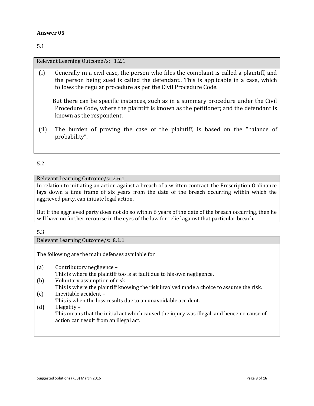5.1

Relevant Learning Outcome/s: 1.2.1

(i) Generally in a civil case, the person who files the complaint is called a plaintiff, and the person being sued is called the defendant.. This is applicable in a case, which follows the regular procedure as per the Civil Procedure Code.

But there can be specific instances, such as in a summary procedure under the Civil Procedure Code, where the plaintiff is known as the petitioner; and the defendant is known as the respondent.

(ii) The burden of proving the case of the plaintiff, is based on the "balance of probability".

5.2

Relevant Learning Outcome/s: 2.6.1

In relation to initiating an action against a breach of a written contract, the Prescription Ordinance lays down a time frame of six years from the date of the breach occurring within which the aggrieved party, can initiate legal action.

But if the aggrieved party does not do so within 6 years of the date of the breach occurring, then he will have no further recourse in the eyes of the law for relief against that particular breach.

#### 5.3

Relevant Learning Outcome/s: 8.1.1

The following are the main defenses available for

- (a) Contributory negligence This is where the plaintiff too is at fault due to his own negligence.
- (b) Voluntary assumption of risk This is where the plaintiff knowing the risk involved made a choice to assume the risk.
- (c) Inevitable accident –

This is when the loss results due to an unavoidable accident.

(d) Illegality –

This means that the initial act which caused the injury was illegal, and hence no cause of action can result from an illegal act.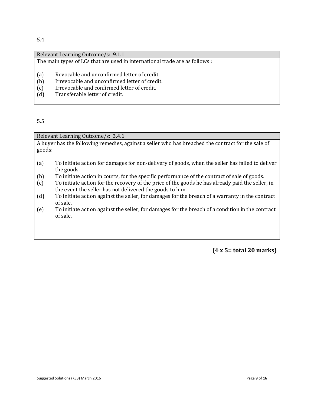#### 5.4

|     | Relevant Learning Outcome/s: 9.1.1                                          |
|-----|-----------------------------------------------------------------------------|
|     | The main types of LCs that are used in international trade are as follows : |
|     |                                                                             |
| (a) | Revocable and unconfirmed letter of credit.                                 |
| (b) | Irrevocable and unconfirmed letter of credit.                               |
| (c) | Irrevocable and confirmed letter of credit.                                 |
| (d) | Transferable letter of credit.                                              |

5.5

Relevant Learning Outcome/s: 3.4.1

A buyer has the following remedies, against a seller who has breached the contract for the sale of goods:

- (a) To initiate action for damages for non-delivery of goods, when the seller has failed to deliver the goods.
- (b) To initiate action in courts, for the specific performance of the contract of sale of goods.
- (c) To initiate action for the recovery of the price of the goods he has already paid the seller, in the event the seller has not delivered the goods to him.
- (d) To initiate action against the seller, for damages for the breach of a warranty in the contract of sale.
- (e) To initiate action against the seller, for damages for the breach of a condition in the contract of sale.

**(4 x 5= total 20 marks)**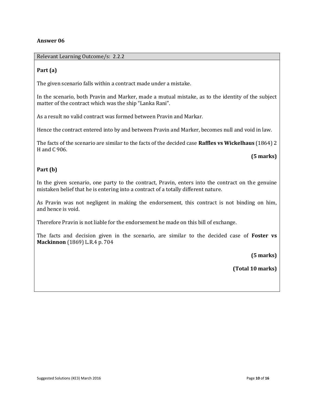Relevant Learning Outcome/s: 2.2.2

#### **Part (a)**

The given scenario falls within a contract made under a mistake.

In the scenario, both Pravin and Marker, made a mutual mistake, as to the identity of the subject matter of the contract which was the ship "Lanka Rani".

As a result no valid contract was formed between Pravin and Markar.

Hence the contract entered into by and between Pravin and Marker, becomes null and void in law.

The facts of the scenario are similar to the facts of the decided case **Raffles vs Wickelhaus** (1864) 2 H and C 906.

 **(5 marks)**

#### **Part (b)**

In the given scenario, one party to the contract, Pravin, enters into the contract on the genuine mistaken belief that he is entering into a contract of a totally different nature.

As Pravin was not negligent in making the endorsement, this contract is not binding on him, and hence is void.

Therefore Pravin is not liable for the endorsement he made on this bill of exchange.

The facts and decision given in the scenario, are similar to the decided case of **Foster vs Mackinnon** (1869) L.R.4 p. 704

**(5 marks)**

**(Total 10 marks)**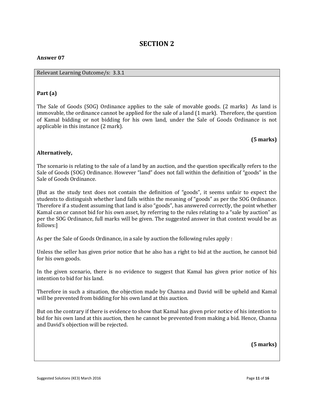# **SECTION 2**

## **Answer 07**

### Relevant Learning Outcome/s: 3.3.1

# **Part (a)**

The Sale of Goods (SOG) Ordinance applies to the sale of movable goods. (2 marks) As land is immovable, the ordinance cannot be applied for the sale of a land (1 mark). Therefore, the question of Kamal bidding or not bidding for his own land, under the Sale of Goods Ordinance is not applicable in this instance (2 mark).

# **(5 marks)**

# **Alternatively,**

The scenario is relating to the sale of a land by an auction, and the question specifically refers to the Sale of Goods (SOG) Ordinance. However "land" does not fall within the definition of "goods" in the Sale of Goods Ordinance.

[But as the study text does not contain the definition of "goods", it seems unfair to expect the students to distinguish whether land falls within the meaning of "goods" as per the SOG Ordinance. Therefore if a student assuming that land is also "goods", has answered correctly, the point whether Kamal can or cannot bid for his own asset, by referring to the rules relating to a "sale by auction" as per the SOG Ordinance, full marks will be given. The suggested answer in that context would be as follows:]

As per the Sale of Goods Ordinance, in a sale by auction the following rules apply :

Unless the seller has given prior notice that he also has a right to bid at the auction, he cannot bid for his own goods.

In the given scenario, there is no evidence to suggest that Kamal has given prior notice of his intention to bid for his land.

Therefore in such a situation, the objection made by Channa and David will be upheld and Kamal will be prevented from bidding for his own land at this auction.

But on the contrary if there is evidence to show that Kamal has given prior notice of his intention to bid for his own land at this auction, then he cannot be prevented from making a bid. Hence, Channa and David's objection will be rejected.

**(5 marks)**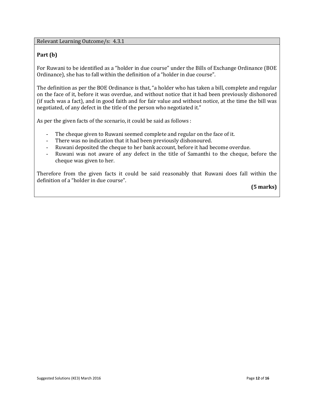Relevant Learning Outcome/s: 4.3.1

#### **Part (b)**

For Ruwani to be identified as a "holder in due course" under the Bills of Exchange Ordinance (BOE Ordinance), she has to fall within the definition of a "holder in due course".

The definition as per the BOE Ordinance is that, "a holder who has taken a bill, complete and regular on the face of it, before it was overdue, and without notice that it had been previously dishonored (if such was a fact), and in good faith and for fair value and without notice, at the time the bill was negotiated, of any defect in the title of the person who negotiated it."

As per the given facts of the scenario, it could be said as follows :

- The cheque given to Ruwani seemed complete and regular on the face of it.
- There was no indication that it had been previously dishonoured.
- Ruwani deposited the cheque to her bank account, before it had become overdue.
- Ruwani was not aware of any defect in the title of Samanthi to the cheque, before the cheque was given to her.

Therefore from the given facts it could be said reasonably that Ruwani does fall within the definition of a "holder in due course".

**(5 marks)**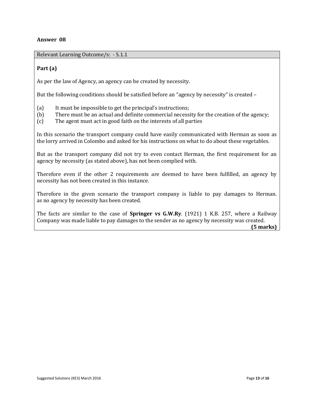Relevant Learning Outcome/s: - 5.1.1

#### **Part (a)**

As per the law of Agency, an agency can be created by necessity.

But the following conditions should be satisfied before an "agency by necessity" is created –

- (a) It must be impossible to get the principal's instructions;
- (b) There must be an actual and definite commercial necessity for the creation of the agency;
- (c) The agent must act in good faith on the interests of all parties

In this scenario the transport company could have easily communicated with Herman as soon as the lorry arrived in Colombo and asked for his instructions on what to do about these vegetables.

But as the transport company did not try to even contact Herman, the first requirement for an agency by necessity (as stated above), has not been complied with.

Therefore even if the other 2 requirements are deemed to have been fulfilled, an agency by necessity has not been created in this instance.

Therefore in the given scenario the transport company is liable to pay damages to Herman. as no agency by necessity has been created.

The facts are similar to the case of **Springer vs G.W.Ry**. (1921) 1 K.B. 257, where a Railway Company was made liable to pay damages to the sender as no agency by necessity was created.

 **(5 marks)**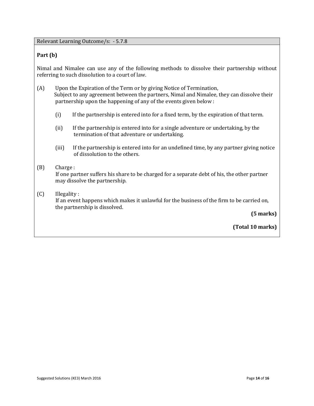Relevant Learning Outcome/s: - 5.7.8

#### **Part (b)**

Nimal and Nimalee can use any of the following methods to dissolve their partnership without referring to such dissolution to a court of law.

- (A) Upon the Expiration of the Term or by giving Notice of Termination, Subject to any agreement between the partners, Nimal and Nimalee, they can dissolve their partnership upon the happening of any of the events given below :
	- (i) If the partnership is entered into for a fixed term, by the expiration of that term.
	- (ii) If the partnership is entered into for a single adventure or undertaking, by the termination of that adventure or undertaking.
	- (iii) If the partnership is entered into for an undefined time, by any partner giving notice of dissolution to the others.

#### (B) Charge :

 If one partner suffers his share to be charged for a separate debt of his, the other partner may dissolve the partnership.

#### (C) Illegality :

 If an event happens which makes it unlawful for the business of the firm to be carried on, the partnership is dissolved.

 **(5 marks)** 

**(Total 10 marks)**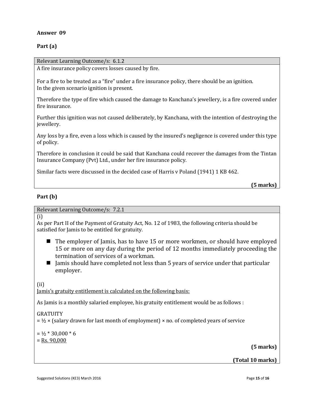#### **Part (a)**

Relevant Learning Outcome/s: 6.1.2 A fire insurance policy covers losses caused by fire. For a fire to be treated as a "fire" under a fire insurance policy, there should be an ignition. In the given scenario ignition is present. Therefore the type of fire which caused the damage to Kanchana's jewellery, is a fire covered under fire insurance. Further this ignition was not caused deliberately, by Kanchana, with the intention of destroying the

jewellery.

Any loss by a fire, even a loss which is caused by the insured's negligence is covered under this type of policy.

Therefore in conclusion it could be said that Kanchana could recover the damages from the Tintan Insurance Company (Pvt) Ltd., under her fire insurance policy.

Similar facts were discussed in the decided case of Harris v Poland (1941) 1 KB 462.

**(5 marks)**

#### **Part (b)**

Relevant Learning Outcome/s: 7.2.1

(i)

As per Part II of the Payment of Gratuity Act, No. 12 of 1983, the following criteria should be satisfied for Jamis to be entitled for gratuity.

- The employer of Jamis, has to have 15 or more workmen, or should have employed 15 or more on any day during the period of 12 months immediately proceeding the termination of services of a workman.
- $\blacksquare$  Jamis should have completed not less than 5 years of service under that particular employer.

(ii)

Jamis's gratuity entitlement is calculated on the following basis:

As Jamis is a monthly salaried employee, his gratuity entitlement would be as follows :

#### GRATUITY

 $=$  ½  $\times$  (salary drawn for last month of employment)  $\times$  no. of completed years of service

 $= 1/2 * 30,000 * 6$ 

 $=$  Rs. 90,000

**(5 marks)**

**(Total 10 marks)**